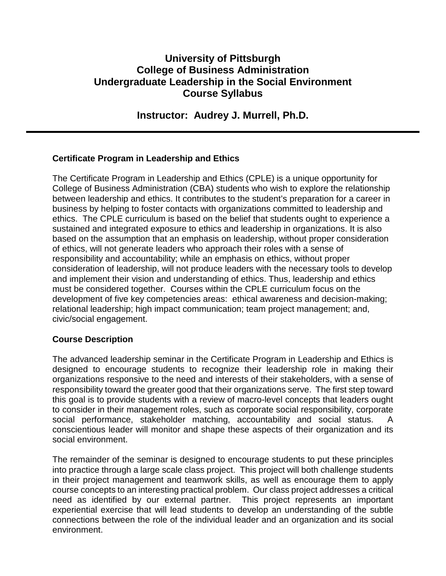# **University of Pittsburgh College of Business Administration Undergraduate Leadership in the Social Environment Course Syllabus**

**Instructor: Audrey J. Murrell, Ph.D.**

# **Certificate Program in Leadership and Ethics**

The Certificate Program in Leadership and Ethics (CPLE) is a unique opportunity for College of Business Administration (CBA) students who wish to explore the relationship between leadership and ethics. It contributes to the student's preparation for a career in business by helping to foster contacts with organizations committed to leadership and ethics. The CPLE curriculum is based on the belief that students ought to experience a sustained and integrated exposure to ethics and leadership in organizations. It is also based on the assumption that an emphasis on leadership, without proper consideration of ethics, will not generate leaders who approach their roles with a sense of responsibility and accountability; while an emphasis on ethics, without proper consideration of leadership, will not produce leaders with the necessary tools to develop and implement their vision and understanding of ethics. Thus, leadership and ethics must be considered together. Courses within the CPLE curriculum focus on the development of five key competencies areas: ethical awareness and decision-making; relational leadership; high impact communication; team project management; and, civic/social engagement.

### **Course Description**

The advanced leadership seminar in the Certificate Program in Leadership and Ethics is designed to encourage students to recognize their leadership role in making their organizations responsive to the need and interests of their stakeholders, with a sense of responsibility toward the greater good that their organizations serve. The first step toward this goal is to provide students with a review of macro-level concepts that leaders ought to consider in their management roles, such as corporate social responsibility, corporate social performance, stakeholder matching, accountability and social status. A conscientious leader will monitor and shape these aspects of their organization and its social environment.

The remainder of the seminar is designed to encourage students to put these principles into practice through a large scale class project. This project will both challenge students in their project management and teamwork skills, as well as encourage them to apply course concepts to an interesting practical problem. Our class project addresses a critical need as identified by our external partner. This project represents an important experiential exercise that will lead students to develop an understanding of the subtle connections between the role of the individual leader and an organization and its social environment.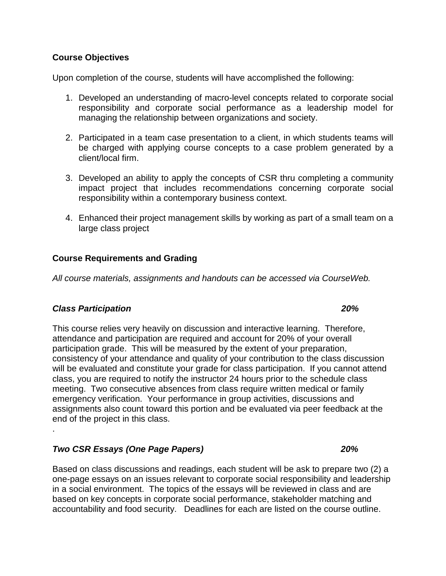### **Course Objectives**

Upon completion of the course, students will have accomplished the following:

- 1. Developed an understanding of macro-level concepts related to corporate social responsibility and corporate social performance as a leadership model for managing the relationship between organizations and society.
- 2. Participated in a team case presentation to a client, in which students teams will be charged with applying course concepts to a case problem generated by a client/local firm.
- 3. Developed an ability to apply the concepts of CSR thru completing a community impact project that includes recommendations concerning corporate social responsibility within a contemporary business context.
- 4. Enhanced their project management skills by working as part of a small team on a large class project

#### **Course Requirements and Grading**

*All course materials, assignments and handouts can be accessed via CourseWeb.*

#### *Class Participation 20%*

.

This course relies very heavily on discussion and interactive learning. Therefore, attendance and participation are required and account for 20% of your overall participation grade. This will be measured by the extent of your preparation, consistency of your attendance and quality of your contribution to the class discussion will be evaluated and constitute your grade for class participation. If you cannot attend class, you are required to notify the instructor 24 hours prior to the schedule class meeting. Two consecutive absences from class require written medical or family emergency verification. Your performance in group activities, discussions and assignments also count toward this portion and be evaluated via peer feedback at the end of the project in this class.

#### *Two CSR Essays (One Page Papers) 20%*

Based on class discussions and readings, each student will be ask to prepare two (2) a one-page essays on an issues relevant to corporate social responsibility and leadership in a social environment. The topics of the essays will be reviewed in class and are based on key concepts in corporate social performance, stakeholder matching and accountability and food security. Deadlines for each are listed on the course outline.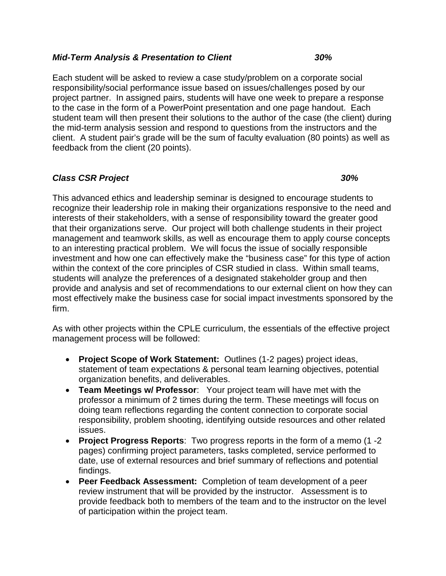#### *Mid-Term Analysis & Presentation to Client 30%*

Each student will be asked to review a case study/problem on a corporate social responsibility/social performance issue based on issues/challenges posed by our project partner. In assigned pairs, students will have one week to prepare a response to the case in the form of a PowerPoint presentation and one page handout. Each student team will then present their solutions to the author of the case (the client) during the mid-term analysis session and respond to questions from the instructors and the client. A student pair's grade will be the sum of faculty evaluation (80 points) as well as feedback from the client (20 points).

# *Class CSR Project 30%*

This advanced ethics and leadership seminar is designed to encourage students to recognize their leadership role in making their organizations responsive to the need and interests of their stakeholders, with a sense of responsibility toward the greater good that their organizations serve. Our project will both challenge students in their project management and teamwork skills, as well as encourage them to apply course concepts to an interesting practical problem. We will focus the issue of socially responsible investment and how one can effectively make the "business case" for this type of action within the context of the core principles of CSR studied in class. Within small teams, students will analyze the preferences of a designated stakeholder group and then provide and analysis and set of recommendations to our external client on how they can most effectively make the business case for social impact investments sponsored by the firm.

As with other projects within the CPLE curriculum, the essentials of the effective project management process will be followed:

- **Project Scope of Work Statement:** Outlines (1-2 pages) project ideas, statement of team expectations & personal team learning objectives, potential organization benefits, and deliverables.
- **Team Meetings w/ Professor**: Your project team will have met with the professor a minimum of 2 times during the term. These meetings will focus on doing team reflections regarding the content connection to corporate social responsibility, problem shooting, identifying outside resources and other related issues.
- **Project Progress Reports**: Two progress reports in the form of a memo (1 -2 pages) confirming project parameters, tasks completed, service performed to date, use of external resources and brief summary of reflections and potential findings.
- **Peer Feedback Assessment:** Completion of team development of a peer review instrument that will be provided by the instructor. Assessment is to provide feedback both to members of the team and to the instructor on the level of participation within the project team.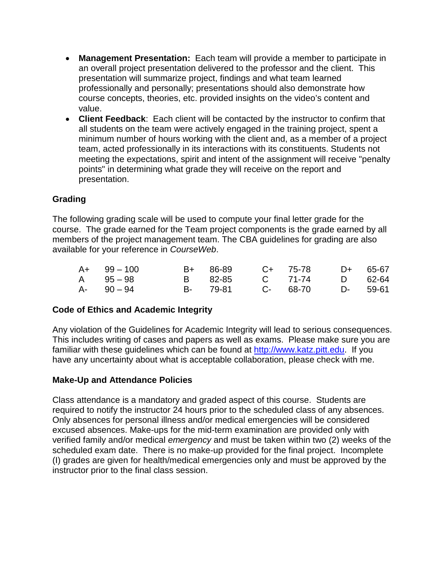- **Management Presentation:** Each team will provide a member to participate in an overall project presentation delivered to the professor and the client. This presentation will summarize project, findings and what team learned professionally and personally; presentations should also demonstrate how course concepts, theories, etc. provided insights on the video's content and value.
- **Client Feedback**: Each client will be contacted by the instructor to confirm that all students on the team were actively engaged in the training project, spent a minimum number of hours working with the client and, as a member of a project team, acted professionally in its interactions with its constituents. Students not meeting the expectations, spirit and intent of the assignment will receive "penalty points" in determining what grade they will receive on the report and presentation.

# **Grading**

The following grading scale will be used to compute your final letter grade for the course. The grade earned for the Team project components is the grade earned by all members of the project management team. The CBA guidelines for grading are also available for your reference in *CourseWeb*.

| $A+$ 99 – 100 |          | B+ 86-89 C+ 75-78 D+ 65-67 |  |
|---------------|----------|----------------------------|--|
| A 95-98       |          | B 82-85 C 71-74 D 62-64    |  |
| A- 90 – 94    | B- 79-81 | C- 68-70 D- 59-61          |  |

### **Code of Ethics and Academic Integrity**

Any violation of the Guidelines for Academic Integrity will lead to serious consequences. This includes writing of cases and papers as well as exams. Please make sure you are familiar with these guidelines which can be found at [http://www.katz.pitt.edu.](http://www.katz.pitt.edu/) If you have any uncertainty about what is acceptable collaboration, please check with me.

### **Make-Up and Attendance Policies**

Class attendance is a mandatory and graded aspect of this course. Students are required to notify the instructor 24 hours prior to the scheduled class of any absences. Only absences for personal illness and/or medical emergencies will be considered excused absences. Make-ups for the mid-term examination are provided only with verified family and/or medical *emergency* and must be taken within two (2) weeks of the scheduled exam date. There is no make-up provided for the final project. Incomplete (I) grades are given for health/medical emergencies only and must be approved by the instructor prior to the final class session.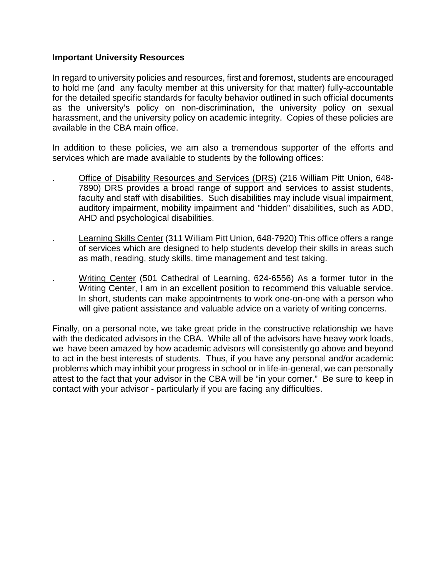#### **Important University Resources**

In regard to university policies and resources, first and foremost, students are encouraged to hold me (and any faculty member at this university for that matter) fully-accountable for the detailed specific standards for faculty behavior outlined in such official documents as the university's policy on non-discrimination, the university policy on sexual harassment, and the university policy on academic integrity. Copies of these policies are available in the CBA main office.

In addition to these policies, we am also a tremendous supporter of the efforts and services which are made available to students by the following offices:

- . Office of Disability Resources and Services (DRS) (216 William Pitt Union, 648- 7890) DRS provides a broad range of support and services to assist students, faculty and staff with disabilities. Such disabilities may include visual impairment, auditory impairment, mobility impairment and "hidden" disabilities, such as ADD, AHD and psychological disabilities.
- . Learning Skills Center (311 William Pitt Union, 648-7920) This office offers a range of services which are designed to help students develop their skills in areas such as math, reading, study skills, time management and test taking.
- Writing Center (501 Cathedral of Learning, 624-6556) As a former tutor in the Writing Center, I am in an excellent position to recommend this valuable service. In short, students can make appointments to work one-on-one with a person who will give patient assistance and valuable advice on a variety of writing concerns.

Finally, on a personal note, we take great pride in the constructive relationship we have with the dedicated advisors in the CBA. While all of the advisors have heavy work loads, we have been amazed by how academic advisors will consistently go above and beyond to act in the best interests of students. Thus, if you have any personal and/or academic problems which may inhibit your progress in school or in life-in-general, we can personally attest to the fact that your advisor in the CBA will be "in your corner." Be sure to keep in contact with your advisor - particularly if you are facing any difficulties.